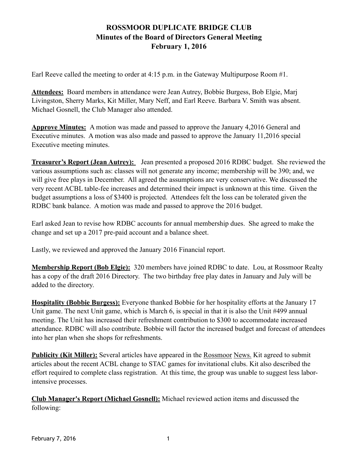## **ROSSMOOR DUPLICATE BRIDGE CLUB Minutes of the Board of Directors General Meeting February 1, 2016**

Earl Reeve called the meeting to order at 4:15 p.m. in the Gateway Multipurpose Room #1.

**Attendees:** Board members in attendance were Jean Autrey, Bobbie Burgess, Bob Elgie, Marj Livingston, Sherry Marks, Kit Miller, Mary Neff, and Earl Reeve. Barbara V. Smith was absent. Michael Gosnell, the Club Manager also attended.

**Approve Minutes:** A motion was made and passed to approve the January 4,2016 General and Executive minutes. A motion was also made and passed to approve the January 11,2016 special Executive meeting minutes.

**Treasurer's Report (Jean Autrey):** Jean presented a proposed 2016 RDBC budget. She reviewed the various assumptions such as: classes will not generate any income; membership will be 390; and, we will give free plays in December. All agreed the assumptions are very conservative. We discussed the very recent ACBL table-fee increases and determined their impact is unknown at this time. Given the budget assumptions a loss of \$3400 is projected. Attendees felt the loss can be tolerated given the RDBC bank balance. A motion was made and passed to approve the 2016 budget.

Earl asked Jean to revise how RDBC accounts for annual membership dues. She agreed to make the change and set up a 2017 pre-paid account and a balance sheet.

Lastly, we reviewed and approved the January 2016 Financial report.

**Membership Report (Bob Elgie):** 320 members have joined RDBC to date. Lou, at Rossmoor Realty has a copy of the draft 2016 Directory. The two birthday free play dates in January and July will be added to the directory.

**Hospitality (Bobbie Burgess):** Everyone thanked Bobbie for her hospitality efforts at the January 17 Unit game. The next Unit game, which is March 6, is special in that it is also the Unit #499 annual meeting. The Unit has increased their refreshment contribution to \$300 to accommodate increased attendance. RDBC will also contribute. Bobbie will factor the increased budget and forecast of attendees into her plan when she shops for refreshments.

**Publicity (Kit Miller):** Several articles have appeared in the Rossmoor News. Kit agreed to submit articles about the recent ACBL change to STAC games for invitational clubs. Kit also described the effort required to complete class registration. At this time, the group was unable to suggest less laborintensive processes.

**Club Manager's Report (Michael Gosnell):** Michael reviewed action items and discussed the following: